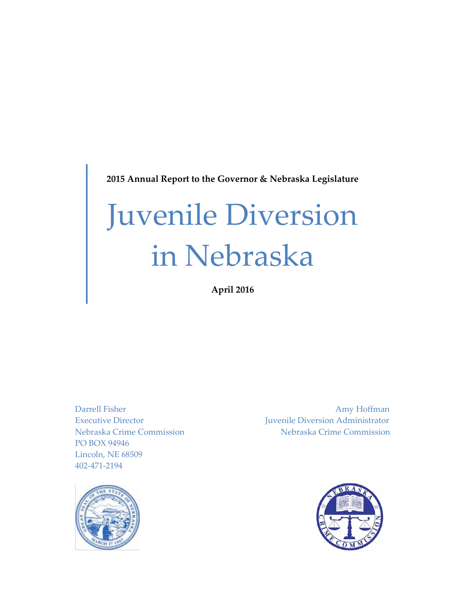**2015 Annual Report to the Governor & Nebraska Legislature**

# Juvenile Diversion in Nebraska

**April 2016**

PO BOX 94946 Lincoln, NE 68509 402-471-2194

Darrell Fisher Amy Hoffman Executive Director Juvenile Diversion Administrator Nebraska Crime Commission Nebraska Crime Commission



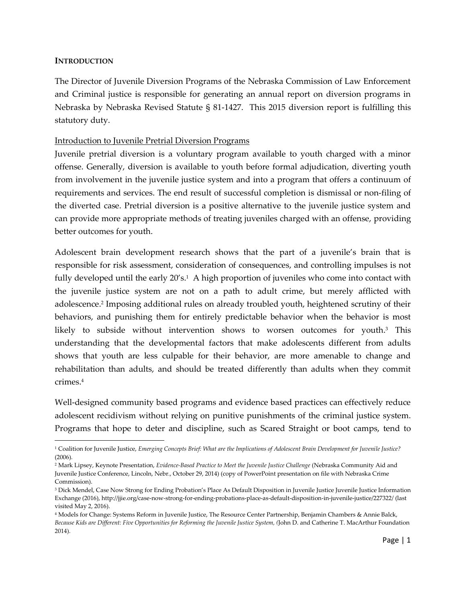#### **INTRODUCTION**

 $\overline{a}$ 

The Director of Juvenile Diversion Programs of the Nebraska Commission of Law Enforcement and Criminal justice is responsible for generating an annual report on diversion programs in Nebraska by Nebraska Revised Statute § 81-1427. This 2015 diversion report is fulfilling this statutory duty.

#### Introduction to Juvenile Pretrial Diversion Programs

Juvenile pretrial diversion is a voluntary program available to youth charged with a minor offense. Generally, diversion is available to youth before formal adjudication, diverting youth from involvement in the juvenile justice system and into a program that offers a continuum of requirements and services. The end result of successful completion is dismissal or non-filing of the diverted case. Pretrial diversion is a positive alternative to the juvenile justice system and can provide more appropriate methods of treating juveniles charged with an offense, providing better outcomes for youth.

Adolescent brain development research shows that the part of a juvenile's brain that is responsible for risk assessment, consideration of consequences, and controlling impulses is not fully developed until the early 20′s.1 A high proportion of juveniles who come into contact with the juvenile justice system are not on a path to adult crime, but merely afflicted with adolescence.<sup>2</sup> Imposing additional rules on already troubled youth, heightened scrutiny of their behaviors, and punishing them for entirely predictable behavior when the behavior is most likely to subside without intervention shows to worsen outcomes for youth. <sup>3</sup> This understanding that the developmental factors that make adolescents different from adults shows that youth are less culpable for their behavior, are more amenable to change and rehabilitation than adults, and should be treated differently than adults when they commit crimes.<sup>4</sup>

Well-designed community based programs and evidence based practices can effectively reduce adolescent recidivism without relying on punitive punishments of the criminal justice system. Programs that hope to deter and discipline, such as Scared Straight or boot camps, tend to

<sup>1</sup> Coalition for Juvenile Justice, *Emerging Concepts Brief: What are the Implications of Adolescent Brain Development for Juvenile Justice?* (2006).

<sup>2</sup> Mark Lipsey, Keynote Presentation, *Evidence-Based Practice to Meet the Juvenile Justice Challenge* (Nebraska Community Aid and Juvenile Justice Conference, Lincoln, Nebr., October 29, 2014) (copy of PowerPoint presentation on file with Nebraska Crime Commission).

<sup>3</sup> Dick Mendel, Case Now Strong for Ending Probation's Place As Default Disposition in Juvenile Justice Juvenile Justice Information Exchange (2016), http://jjie.org/case-now-strong-for-ending-probations-place-as-default-disposition-in-juvenile-justice/227322/ (last visited May 2, 2016).

<sup>4</sup> Models for Change: Systems Reform in Juvenile Justice, The Resource Center Partnership, Benjamin Chambers & Annie Balck, *Because Kids are Different: Five Opportunities for Reforming the Juvenile Justice System, (*John D. and Catherine T. MacArthur Foundation 2014).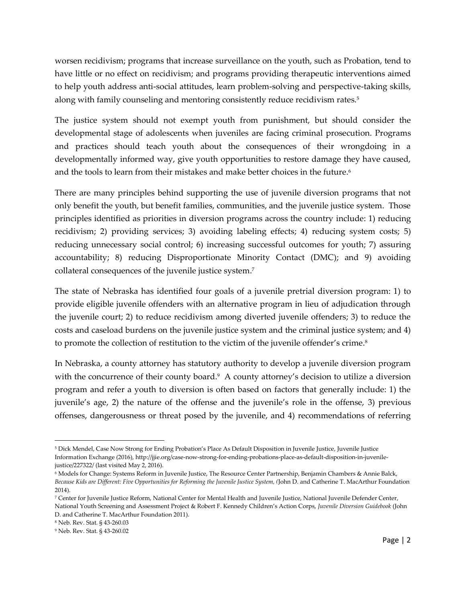worsen recidivism; programs that increase surveillance on the youth, such as Probation, tend to have little or no effect on recidivism; and programs providing therapeutic interventions aimed to help youth address anti-social attitudes, learn problem-solving and perspective-taking skills, along with family counseling and mentoring consistently reduce recidivism rates.<sup>5</sup>

The justice system should not exempt youth from punishment, but should consider the developmental stage of adolescents when juveniles are facing criminal prosecution. Programs and practices should teach youth about the consequences of their wrongdoing in a developmentally informed way, give youth opportunities to restore damage they have caused, and the tools to learn from their mistakes and make better choices in the future.<sup>6</sup>

There are many principles behind supporting the use of juvenile diversion programs that not only benefit the youth, but benefit families, communities, and the juvenile justice system. Those principles identified as priorities in diversion programs across the country include: 1) reducing recidivism; 2) providing services; 3) avoiding labeling effects; 4) reducing system costs; 5) reducing unnecessary social control; 6) increasing successful outcomes for youth; 7) assuring accountability; 8) reducing Disproportionate Minority Contact (DMC); and 9) avoiding collateral consequences of the juvenile justice system. 7

The state of Nebraska has identified four goals of a juvenile pretrial diversion program: 1) to provide eligible juvenile offenders with an alternative program in lieu of adjudication through the juvenile court; 2) to reduce recidivism among diverted juvenile offenders; 3) to reduce the costs and caseload burdens on the juvenile justice system and the criminal justice system; and 4) to promote the collection of restitution to the victim of the juvenile offender's crime.<sup>8</sup>

In Nebraska, a county attorney has statutory authority to develop a juvenile diversion program with the concurrence of their county board.<sup>9</sup> A county attorney's decision to utilize a diversion program and refer a youth to diversion is often based on factors that generally include: 1) the juvenile's age, 2) the nature of the offense and the juvenile's role in the offense, 3) previous offenses, dangerousness or threat posed by the juvenile, and 4) recommendations of referring

 $\overline{a}$ 

<sup>5</sup> Dick Mendel, Case Now Strong for Ending Probation's Place As Default Disposition in Juvenile Justice, Juvenile Justice Information Exchange (2016), http://jjie.org/case-now-strong-for-ending-probations-place-as-default-disposition-in-juvenilejustice/227322/ (last visited May 2, 2016).

<sup>6</sup> Models for Change: Systems Reform in Juvenile Justice, The Resource Center Partnership, Benjamin Chambers & Annie Balck, *Because Kids are Different: Five Opportunities for Reforming the Juvenile Justice System, (*John D. and Catherine T. MacArthur Foundation 2014).

<sup>7</sup> Center for Juvenile Justice Reform, National Center for Mental Health and Juvenile Justice, National Juvenile Defender Center, National Youth Screening and Assessment Project & Robert F. Kennedy Children's Action Corps, *Juvenile Diversion Guidebook* (John D. and Catherine T. MacArthur Foundation 2011).

<sup>8</sup> Neb. Rev. Stat. § 43-260.03

<sup>9</sup> Neb. Rev. Stat. § 43-260.02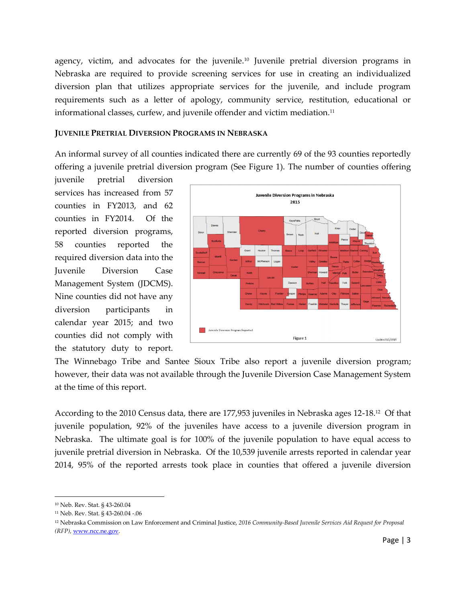agency, victim, and advocates for the juvenile.<sup>10</sup> Juvenile pretrial diversion programs in Nebraska are required to provide screening services for use in creating an individualized diversion plan that utilizes appropriate services for the juvenile, and include program requirements such as a letter of apology, community service, restitution, educational or informational classes, curfew, and juvenile offender and victim mediation.<sup>11</sup>

#### **JUVENILE PRETRIAL DIVERSION PROGRAMS IN NEBRASKA**

An informal survey of all counties indicated there are currently 69 of the 93 counties reportedly offering a juvenile pretrial diversion program (See Figure 1). The number of counties offering

juvenile pretrial diversion services has increased from 57 counties in FY2013, and 62 counties in FY2014. Of the reported diversion programs, 58 counties reported the required diversion data into the Juvenile Diversion Case Management System (JDCMS). Nine counties did not have any diversion participants in calendar year 2015; and two counties did not comply with the statutory duty to report.



The Winnebago Tribe and Santee Sioux Tribe also report a juvenile diversion program; however, their data was not available through the Juvenile Diversion Case Management System at the time of this report.

According to the 2010 Census data, there are 177,953 juveniles in Nebraska ages 12-18.<sup>12</sup> Of that juvenile population, 92% of the juveniles have access to a juvenile diversion program in Nebraska. The ultimate goal is for 100% of the juvenile population to have equal access to juvenile pretrial diversion in Nebraska. Of the 10,539 juvenile arrests reported in calendar year 2014, 95% of the reported arrests took place in counties that offered a juvenile diversion

l

<sup>10</sup> Neb. Rev. Stat. § 43-260.04

<sup>11</sup> Neb. Rev. Stat. § 43-260.04 -.06

<sup>12</sup> Nebraska Commission on Law Enforcement and Criminal Justice, *2016 Community-Based Juvenile Services Aid Request for Proposal (RFP),* [www.ncc.ne.gov.](http://www.ncc.ne.gov/)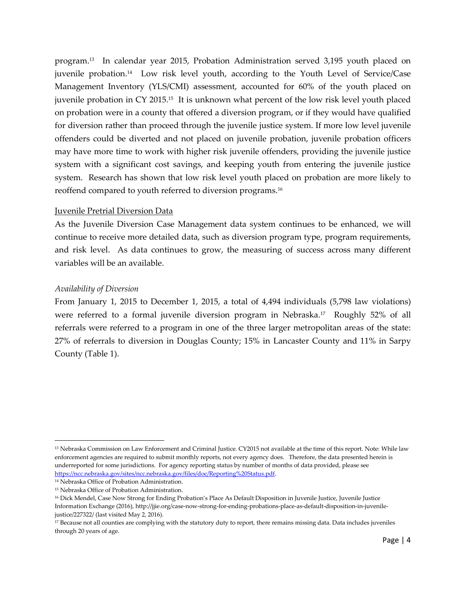program.<sup>13</sup> In calendar year 2015, Probation Administration served 3,195 youth placed on juvenile probation.<sup>14</sup> Low risk level youth, according to the Youth Level of Service/Case Management Inventory (YLS/CMI) assessment, accounted for 60% of the youth placed on juvenile probation in CY 2015.<sup>15</sup> It is unknown what percent of the low risk level youth placed on probation were in a county that offered a diversion program, or if they would have qualified for diversion rather than proceed through the juvenile justice system. If more low level juvenile offenders could be diverted and not placed on juvenile probation, juvenile probation officers may have more time to work with higher risk juvenile offenders, providing the juvenile justice system with a significant cost savings, and keeping youth from entering the juvenile justice system. Research has shown that low risk level youth placed on probation are more likely to reoffend compared to youth referred to diversion programs.<sup>16</sup>

#### Juvenile Pretrial Diversion Data

As the Juvenile Diversion Case Management data system continues to be enhanced, we will continue to receive more detailed data, such as diversion program type, program requirements, and risk level. As data continues to grow, the measuring of success across many different variables will be an available.

#### *Availability of Diversion*

From January 1, 2015 to December 1, 2015, a total of 4,494 individuals (5,798 law violations) were referred to a formal juvenile diversion program in Nebraska.<sup>17</sup> Roughly 52% of all referrals were referred to a program in one of the three larger metropolitan areas of the state: 27% of referrals to diversion in Douglas County; 15% in Lancaster County and 11% in Sarpy County (Table 1).

 $\overline{a}$ 

<sup>13</sup> Nebraska Commission on Law Enforcement and Criminal Justice. CY2015 not available at the time of this report. Note: While law enforcement agencies are required to submit monthly reports, not every agency does. Therefore, the data presented herein is underreported for some jurisdictions. For agency reporting status by number of months of data provided, please see [https://ncc.nebraska.gov/sites/ncc.nebraska.gov/files/doc/Reporting%20Status.pdf.](https://ncc.nebraska.gov/sites/ncc.nebraska.gov/files/doc/Reporting%20Status.pdf)

<sup>14</sup> Nebraska Office of Probation Administration.

<sup>15</sup> Nebraska Office of Probation Administration.

<sup>16</sup> Dick Mendel, Case Now Strong for Ending Probation's Place As Default Disposition in Juvenile Justice, Juvenile Justice Information Exchange (2016), http://jjie.org/case-now-strong-for-ending-probations-place-as-default-disposition-in-juvenilejustice/227322/ (last visited May 2, 2016).

<sup>17</sup> Because not all counties are complying with the statutory duty to report, there remains missing data. Data includes juveniles through 20 years of age.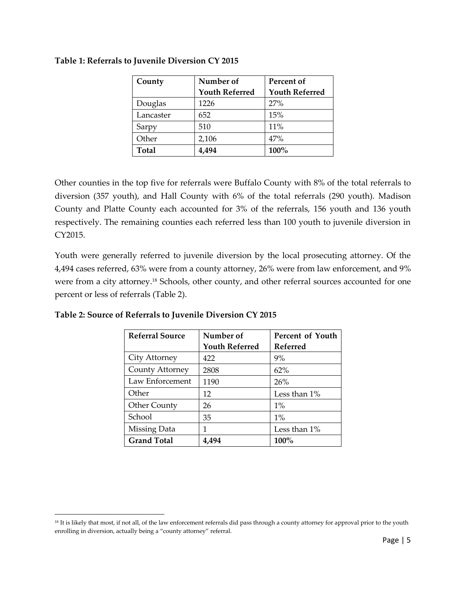| County       | Number of             | Percent of            |  |
|--------------|-----------------------|-----------------------|--|
|              | <b>Youth Referred</b> | <b>Youth Referred</b> |  |
| Douglas      | 1226                  | 27%                   |  |
| Lancaster    | 652                   | 15%                   |  |
| Sarpy        | 510                   | 11%                   |  |
| Other        | 2,106                 | 47%                   |  |
| <b>Total</b> | 4,494                 | 100%                  |  |

#### **Table 1: Referrals to Juvenile Diversion CY 2015**

Other counties in the top five for referrals were Buffalo County with 8% of the total referrals to diversion (357 youth), and Hall County with 6% of the total referrals (290 youth). Madison County and Platte County each accounted for 3% of the referrals, 156 youth and 136 youth respectively. The remaining counties each referred less than 100 youth to juvenile diversion in CY2015.

Youth were generally referred to juvenile diversion by the local prosecuting attorney. Of the 4,494 cases referred, 63% were from a county attorney, 26% were from law enforcement, and 9% were from a city attorney. <sup>18</sup> Schools, other county, and other referral sources accounted for one percent or less of referrals (Table 2).

| <b>Referral Source</b> | Number of<br>Percent of Youth |                 |
|------------------------|-------------------------------|-----------------|
|                        | <b>Youth Referred</b>         | <b>Referred</b> |
| City Attorney          | 422                           | 9%              |
| County Attorney        | 2808                          | 62%             |
| Law Enforcement        | 1190                          | 26%             |
| Other                  | 12                            | Less than 1%    |
| <b>Other County</b>    | 26                            | $1\%$           |
| School                 | 35                            | $1\%$           |
| Missing Data           | 1                             | Less than 1%    |
| <b>Grand Total</b>     | 4.494                         | $100\%$         |

**Table 2: Source of Referrals to Juvenile Diversion CY 2015**

 $\overline{a}$ 

<sup>&</sup>lt;sup>18</sup> It is likely that most, if not all, of the law enforcement referrals did pass through a county attorney for approval prior to the youth enrolling in diversion, actually being a "county attorney" referral.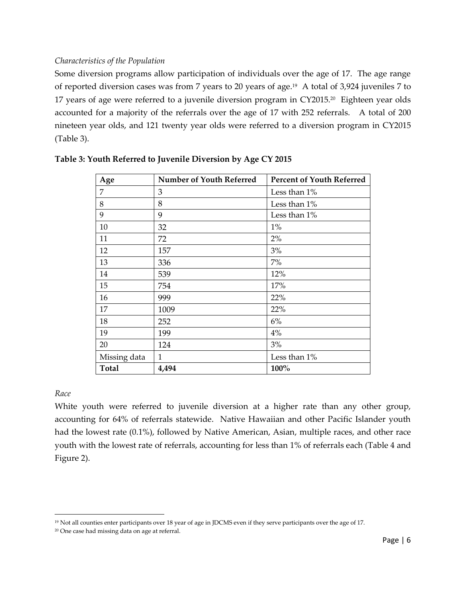## *Characteristics of the Population*

Some diversion programs allow participation of individuals over the age of 17. The age range of reported diversion cases was from 7 years to 20 years of age.<sup>19</sup> A total of 3,924 juveniles 7 to 17 years of age were referred to a juvenile diversion program in CY2015. 20 Eighteen year olds accounted for a majority of the referrals over the age of 17 with 252 referrals. A total of 200 nineteen year olds, and 121 twenty year olds were referred to a diversion program in CY2015 (Table 3).

| Age          | <b>Number of Youth Referred</b> | <b>Percent of Youth Referred</b> |
|--------------|---------------------------------|----------------------------------|
| 7            | 3                               | Less than 1%                     |
| 8            | 8                               | Less than 1%                     |
| 9            | 9                               | Less than 1%                     |
| 10           | 32                              | $1\%$                            |
| 11           | 72                              | 2%                               |
| 12           | 157                             | 3%                               |
| 13           | 336                             | $7\%$                            |
| 14           | 539                             | 12%                              |
| 15           | 754                             | 17%                              |
| 16           | 999                             | 22%                              |
| 17           | 1009                            | 22%                              |
| 18           | 252                             | 6%                               |
| 19           | 199                             | 4%                               |
| 20           | 124                             | 3%                               |
| Missing data | $\mathbf{1}$                    | Less than 1%                     |
| <b>Total</b> | 4,494                           | 100%                             |

#### **Table 3: Youth Referred to Juvenile Diversion by Age CY 2015**

#### *Race*

 $\overline{a}$ 

White youth were referred to juvenile diversion at a higher rate than any other group, accounting for 64% of referrals statewide. Native Hawaiian and other Pacific Islander youth had the lowest rate (0.1%), followed by Native American, Asian, multiple races, and other race youth with the lowest rate of referrals, accounting for less than 1% of referrals each (Table 4 and Figure 2).

<sup>19</sup> Not all counties enter participants over 18 year of age in JDCMS even if they serve participants over the age of 17.

<sup>20</sup> One case had missing data on age at referral.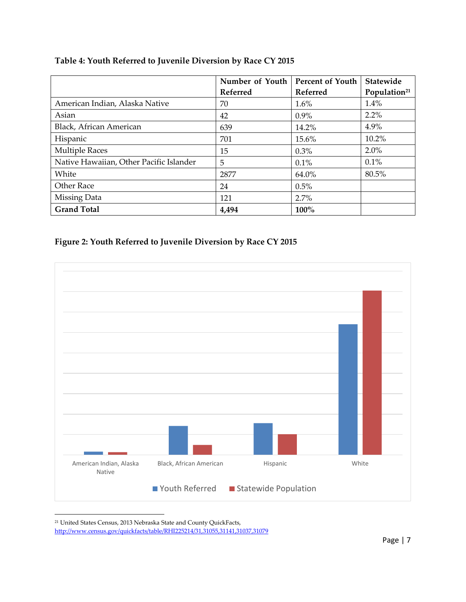|                                         | Number of Youth | <b>Percent of Youth</b> | <b>Statewide</b>         |
|-----------------------------------------|-----------------|-------------------------|--------------------------|
|                                         | Referred        | Referred                | Population <sup>21</sup> |
| American Indian, Alaska Native          | 70              | $1.6\%$                 | 1.4%                     |
| Asian                                   | 42              | $0.9\%$                 | 2.2%                     |
| Black, African American                 | 639             | 14.2%                   | 4.9%                     |
| Hispanic                                | 701             | 15.6%                   | 10.2%                    |
| <b>Multiple Races</b>                   | 15              | 0.3%                    | 2.0%                     |
| Native Hawaiian, Other Pacific Islander | 5               | $0.1\%$                 | 0.1%                     |
| White                                   | 2877            | 64.0%                   | 80.5%                    |
| Other Race                              | 24              | 0.5%                    |                          |
| Missing Data                            | 121             | 2.7%                    |                          |
| <b>Grand Total</b>                      | 4,494           | 100%                    |                          |

## **Table 4: Youth Referred to Juvenile Diversion by Race CY 2015**





<sup>21</sup> United States Census, 2013 Nebraska State and County QuickFacts, <http://www.census.gov/quickfacts/table/RHI225214/31,31055,31141,31037,31079>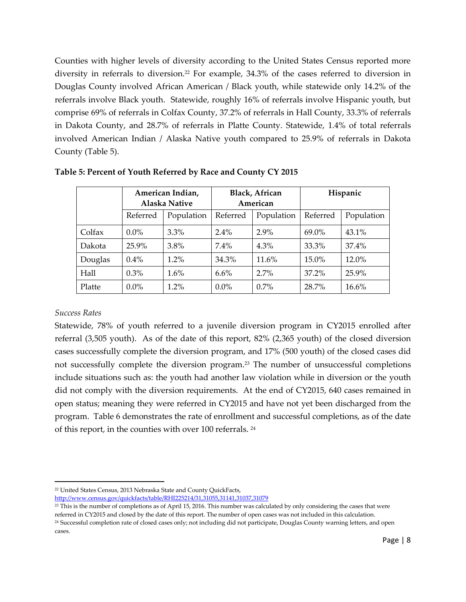Counties with higher levels of diversity according to the United States Census reported more diversity in referrals to diversion.<sup>22</sup> For example, 34.3% of the cases referred to diversion in Douglas County involved African American / Black youth, while statewide only 14.2% of the referrals involve Black youth. Statewide, roughly 16% of referrals involve Hispanic youth, but comprise 69% of referrals in Colfax County, 37.2% of referrals in Hall County, 33.3% of referrals in Dakota County, and 28.7% of referrals in Platte County. Statewide, 1.4% of total referrals involved American Indian / Alaska Native youth compared to 25.9% of referrals in Dakota County (Table 5).

|         | American Indian,<br><b>Alaska Native</b> |            | <b>Black, African</b><br>American |            | Hispanic |            |
|---------|------------------------------------------|------------|-----------------------------------|------------|----------|------------|
|         | Referred                                 | Population | Referred                          | Population | Referred | Population |
| Colfax  | $0.0\%$                                  | $3.3\%$    | $2.4\%$                           | $2.9\%$    | 69.0%    | 43.1%      |
| Dakota  | 25.9%                                    | 3.8%       | 7.4%                              | $4.3\%$    | 33.3%    | 37.4%      |
| Douglas | $0.4\%$                                  | $1.2\%$    | 34.3%                             | 11.6%      | 15.0%    | 12.0%      |
| Hall    | 0.3%                                     | $1.6\%$    | 6.6%                              | $2.7\%$    | 37.2%    | 25.9%      |
| Platte  | $0.0\%$                                  | 1.2%       | $0.0\%$                           | $0.7\%$    | 28.7%    | 16.6%      |

**Table 5: Percent of Youth Referred by Race and County CY 2015**

#### *Success Rates*

l

Statewide, 78% of youth referred to a juvenile diversion program in CY2015 enrolled after referral (3,505 youth). As of the date of this report, 82% (2,365 youth) of the closed diversion cases successfully complete the diversion program, and 17% (500 youth) of the closed cases did not successfully complete the diversion program. <sup>23</sup> The number of unsuccessful completions include situations such as: the youth had another law violation while in diversion or the youth did not comply with the diversion requirements. At the end of CY2015, 640 cases remained in open status; meaning they were referred in CY2015 and have not yet been discharged from the program. Table 6 demonstrates the rate of enrollment and successful completions, as of the date of this report, in the counties with over 100 referrals. <sup>24</sup>

<sup>22</sup> United States Census, 2013 Nebraska State and County QuickFacts,

<http://www.census.gov/quickfacts/table/RHI225214/31,31055,31141,31037,31079>

 $^{23}$  This is the number of completions as of April 15, 2016. This number was calculated by only considering the cases that were

referred in CY2015 and closed by the date of this report. The number of open cases was not included in this calculation.

<sup>24</sup> Successful completion rate of closed cases only; not including did not participate, Douglas County warning letters, and open cases.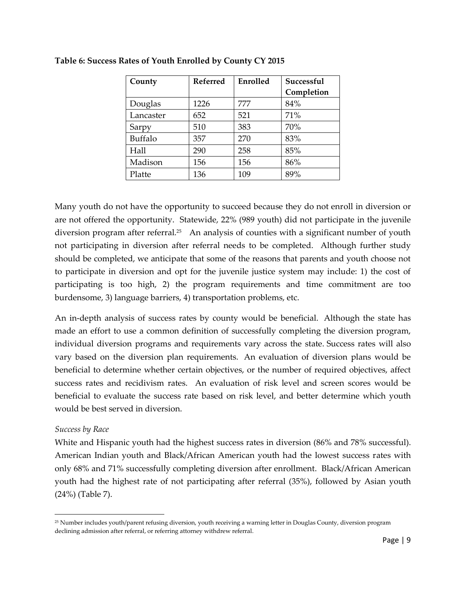| County    | Referred | Enrolled | Successful |  |
|-----------|----------|----------|------------|--|
|           |          |          | Completion |  |
| Douglas   | 1226     | 777      | 84%        |  |
| Lancaster | 652      | 521      | 71%        |  |
| Sarpy     | 510      | 383      | 70%        |  |
| Buffalo   | 357      | 270      | 83%        |  |
| Hall      | 290      | 258      | 85%        |  |
| Madison   | 156      | 156      | 86%        |  |
| Platte    | 136      | 109      | 89%        |  |

## **Table 6: Success Rates of Youth Enrolled by County CY 2015**

Many youth do not have the opportunity to succeed because they do not enroll in diversion or are not offered the opportunity. Statewide, 22% (989 youth) did not participate in the juvenile diversion program after referral.<sup>25</sup> An analysis of counties with a significant number of youth not participating in diversion after referral needs to be completed. Although further study should be completed, we anticipate that some of the reasons that parents and youth choose not to participate in diversion and opt for the juvenile justice system may include: 1) the cost of participating is too high, 2) the program requirements and time commitment are too burdensome, 3) language barriers, 4) transportation problems, etc.

An in-depth analysis of success rates by county would be beneficial. Although the state has made an effort to use a common definition of successfully completing the diversion program, individual diversion programs and requirements vary across the state. Success rates will also vary based on the diversion plan requirements. An evaluation of diversion plans would be beneficial to determine whether certain objectives, or the number of required objectives, affect success rates and recidivism rates. An evaluation of risk level and screen scores would be beneficial to evaluate the success rate based on risk level, and better determine which youth would be best served in diversion.

#### *Success by Race*

 $\overline{a}$ 

White and Hispanic youth had the highest success rates in diversion (86% and 78% successful). American Indian youth and Black/African American youth had the lowest success rates with only 68% and 71% successfully completing diversion after enrollment. Black/African American youth had the highest rate of not participating after referral (35%), followed by Asian youth (24%) (Table 7).

<sup>25</sup> Number includes youth/parent refusing diversion, youth receiving a warning letter in Douglas County, diversion program declining admission after referral, or referring attorney withdrew referral.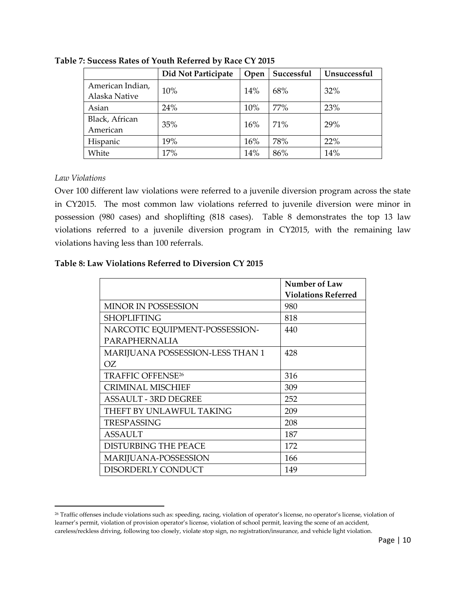|                                   | Did Not Participate | Open | Successful | Unsuccessful |
|-----------------------------------|---------------------|------|------------|--------------|
| American Indian,<br>Alaska Native | 10%                 | 14%  | 68%        | 32%          |
| Asian                             | 24%                 | 10%  | 77%        | 23%          |
| Black, African<br>American        | 35%                 | 16%  | 71%        | 29%          |
| Hispanic                          | 19%                 | 16%  | 78%        | 22%          |
| White                             | 17%                 | 14%  | 86%        | 14%          |

**Table 7: Success Rates of Youth Referred by Race CY 2015**

#### *Law Violations*

l

Over 100 different law violations were referred to a juvenile diversion program across the state in CY2015. The most common law violations referred to juvenile diversion were minor in possession (980 cases) and shoplifting (818 cases). Table 8 demonstrates the top 13 law violations referred to a juvenile diversion program in CY2015, with the remaining law violations having less than 100 referrals.

## **Table 8: Law Violations Referred to Diversion CY 2015**

|                                  | Number of Law              |
|----------------------------------|----------------------------|
|                                  | <b>Violations Referred</b> |
| <b>MINOR IN POSSESSION</b>       | 980                        |
| <b>SHOPLIFTING</b>               | 818                        |
| NARCOTIC EQUIPMENT-POSSESSION-   | 440                        |
| PARAPHERNALIA                    |                            |
| MARIJUANA POSSESSION-LESS THAN 1 | 428                        |
| OZ.                              |                            |
| <b>TRAFFIC OFFENSE26</b>         | 316                        |
| <b>CRIMINAL MISCHIEF</b>         | 309                        |
| ASSAULT - 3RD DEGREE             | 252                        |
| THEFT BY UNLAWFUL TAKING         | 209                        |
| <b>TRESPASSING</b>               | 208                        |
| <b>ASSAULT</b>                   | 187                        |
| <b>DISTURBING THE PEACE</b>      | 172                        |
| MARIJUANA-POSSESSION             | 166                        |
| DISORDERLY CONDUCT               | 149                        |

<sup>26</sup> Traffic offenses include violations such as: speeding, racing, violation of operator's license, no operator's license, violation of learner's permit, violation of provision operator's license, violation of school permit, leaving the scene of an accident, careless/reckless driving, following too closely, violate stop sign, no registration/insurance, and vehicle light violation.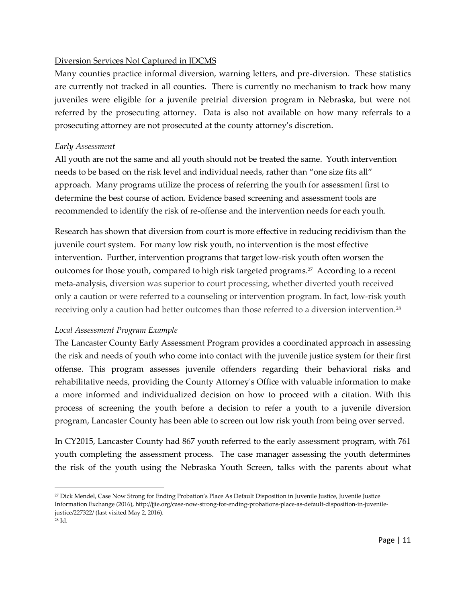## Diversion Services Not Captured in JDCMS

Many counties practice informal diversion, warning letters, and pre-diversion. These statistics are currently not tracked in all counties. There is currently no mechanism to track how many juveniles were eligible for a juvenile pretrial diversion program in Nebraska, but were not referred by the prosecuting attorney. Data is also not available on how many referrals to a prosecuting attorney are not prosecuted at the county attorney's discretion.

#### *Early Assessment*

All youth are not the same and all youth should not be treated the same. Youth intervention needs to be based on the risk level and individual needs, rather than "one size fits all" approach. Many programs utilize the process of referring the youth for assessment first to determine the best course of action. Evidence based screening and assessment tools are recommended to identify the risk of re-offense and the intervention needs for each youth.

Research has shown that diversion from court is more effective in reducing recidivism than the juvenile court system. For many low risk youth, no intervention is the most effective intervention. Further, intervention programs that target low-risk youth often worsen the outcomes for those youth, compared to high risk targeted programs.<sup>27</sup> According to a recent meta-analysis, diversion was superior to court processing, whether diverted youth received only a caution or were referred to a counseling or intervention program. In fact, low-risk youth receiving only a caution had better outcomes than those referred to a diversion intervention.<sup>28</sup>

#### *Local Assessment Program Example*

The Lancaster County Early Assessment Program provides a coordinated approach in assessing the risk and needs of youth who come into contact with the juvenile justice system for their first offense. This program assesses juvenile offenders regarding their behavioral risks and rehabilitative needs, providing the County Attorney's Office with valuable information to make a more informed and individualized decision on how to proceed with a citation. With this process of screening the youth before a decision to refer a youth to a juvenile diversion program, Lancaster County has been able to screen out low risk youth from being over served.

In CY2015, Lancaster County had 867 youth referred to the early assessment program, with 761 youth completing the assessment process. The case manager assessing the youth determines the risk of the youth using the Nebraska Youth Screen, talks with the parents about what

 $\overline{\phantom{a}}$ 

<sup>27</sup> Dick Mendel, Case Now Strong for Ending Probation's Place As Default Disposition in Juvenile Justice, Juvenile Justice Information Exchange (2016), http://jjie.org/case-now-strong-for-ending-probations-place-as-default-disposition-in-juvenilejustice/227322/ (last visited May 2, 2016).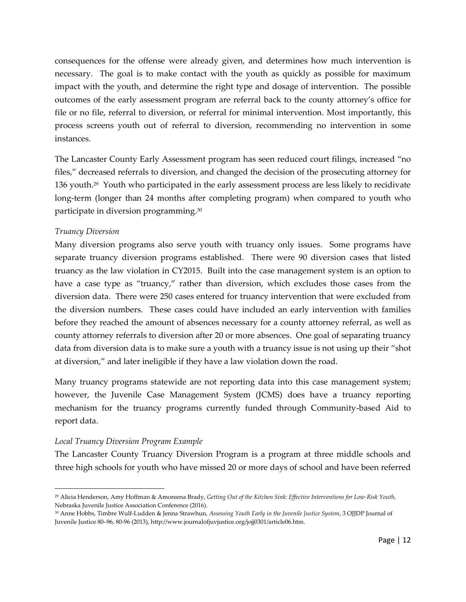consequences for the offense were already given, and determines how much intervention is necessary. The goal is to make contact with the youth as quickly as possible for maximum impact with the youth, and determine the right type and dosage of intervention. The possible outcomes of the early assessment program are referral back to the county attorney's office for file or no file, referral to diversion, or referral for minimal intervention. Most importantly, this process screens youth out of referral to diversion, recommending no intervention in some instances.

The Lancaster County Early Assessment program has seen reduced court filings, increased "no files," decreased referrals to diversion, and changed the decision of the prosecuting attorney for 136 youth.<sup>29</sup> Youth who participated in the early assessment process are less likely to recidivate long-term (longer than 24 months after completing program) when compared to youth who participate in diversion programming.<sup>30</sup>

#### *Truancy Diversion*

Many diversion programs also serve youth with truancy only issues. Some programs have separate truancy diversion programs established. There were 90 diversion cases that listed truancy as the law violation in CY2015. Built into the case management system is an option to have a case type as "truancy," rather than diversion, which excludes those cases from the diversion data. There were 250 cases entered for truancy intervention that were excluded from the diversion numbers. These cases could have included an early intervention with families before they reached the amount of absences necessary for a county attorney referral, as well as county attorney referrals to diversion after 20 or more absences. One goal of separating truancy data from diversion data is to make sure a youth with a truancy issue is not using up their "shot at diversion," and later ineligible if they have a law violation down the road.

Many truancy programs statewide are not reporting data into this case management system; however, the Juvenile Case Management System (JCMS) does have a truancy reporting mechanism for the truancy programs currently funded through Community-based Aid to report data.

#### *Local Truancy Diversion Program Example*

l

The Lancaster County Truancy Diversion Program is a program at three middle schools and three high schools for youth who have missed 20 or more days of school and have been referred

<sup>29</sup> Alicia Henderson, Amy Hoffman & Amoreena Brady, *Getting Out of the Kitchen Sink: Effective Interventions for Low-Risk Youth*, Nebraska Juvenile Justice Association Conference (2016).

<sup>30</sup> Anne Hobbs, Timbre Wulf-Ludden & Jenna Strawhun, *Assessing Youth Early in the Juvenile Justice System*, 3 OJJDP Journal of Juvenile Justice 80–96, 80-96 (2013), http://www.journalofjuvjustice.org/jojj0301/article06.htm.